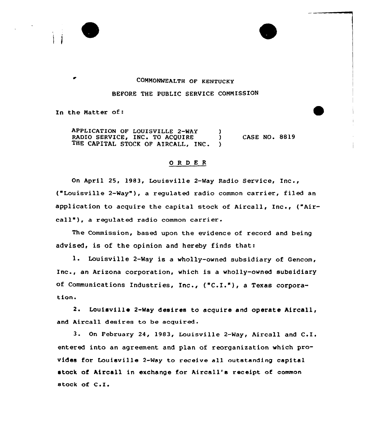

## COMMONWEALTH OF KENTUCKY BEFORE THE PUBLIC SERVICE COMMISSION

In the Matter of:

APPLICATION OF LOUISVILLE 2-WAY )<br>RADIO SERVICE, INC. TO ACOUIRE RADIO SERVICE, INC. TO ACQUIRE )<br>THE CAPITAL STOCK OF AIRCALL. INC. THE CAPITAL STOCK OF AIRCALL, INC. CASE NO. 8819

## 0 <sup>R</sup> <sup>D</sup> E <sup>R</sup>

On April 25, 1983, Louisville 2-Way Radio Service, Inc., ("Louisville 2-Way" ), <sup>a</sup> regulated radio common carrier, <sup>f</sup>iled an application to acquire the capital stock of Aircall, Inc., ("Aircall"), a regulated radio common carrier.

The Commission, based upon the evidence of record and being advised, is of the opinion and hereby finds that:

1. Louisville 2-Way is a wholly-owned subsidiary of Gencom, Inc., an Arizona corporation, which is <sup>a</sup> wholly-owned subsidiary of Communications Industries, Inc., ("C.I."), a Texas corporation+

2. Louisville 2-Way desires to acquire and operate Aircall, and Aircall desires to be acquired.

3. On February 24, 1983, Louisville 2-Way, Aircall and  $C.I.$ entered into an agreement and plan of reorganization which provides for Louisville 2-Way to receive all outstanding capital stock of Aircall in exchange for Aircall's receipt of common stock of C.I.